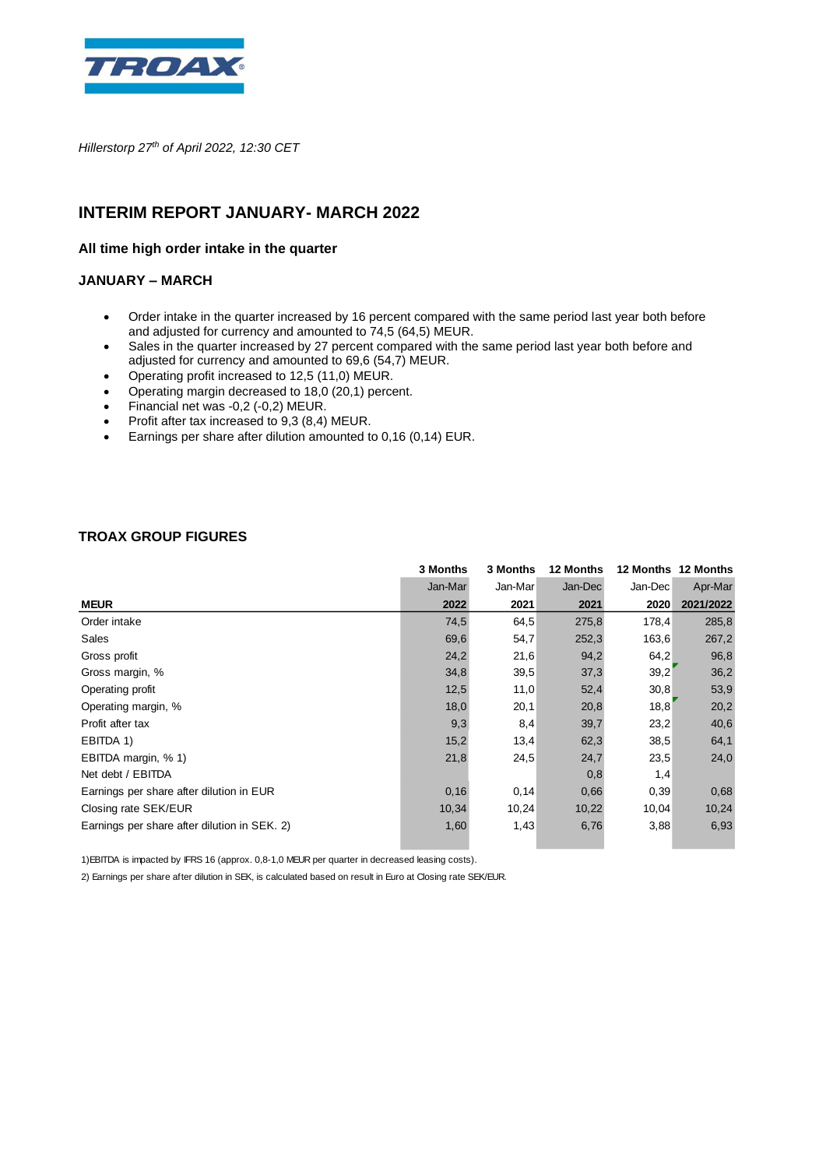

*Hillerstorp 27th of April 2022, 12:30 CET*

# **INTERIM REPORT JANUARY- MARCH 2022**

#### **All time high order intake in the quarter**

### **JANUARY – MARCH**

- Order intake in the quarter increased by 16 percent compared with the same period last year both before and adjusted for currency and amounted to 74,5 (64,5) MEUR.
- Sales in the quarter increased by 27 percent compared with the same period last year both before and adjusted for currency and amounted to 69,6 (54,7) MEUR.
- Operating profit increased to 12,5 (11,0) MEUR.
- Operating margin decreased to 18,0 (20,1) percent.
- Financial net was -0,2 (-0,2) MEUR.
- Profit after tax increased to 9,3 (8,4) MEUR.
- Earnings per share after dilution amounted to 0,16 (0,14) EUR.

#### **TROAX GROUP FIGURES**

|                                              | 3 Months | 3 Months | <b>12 Months</b> |         | 12 Months 12 Months |
|----------------------------------------------|----------|----------|------------------|---------|---------------------|
|                                              | Jan-Mar  | Jan-Mar  | Jan-Dec          | Jan-Dec | Apr-Mar             |
| <b>MEUR</b>                                  | 2022     | 2021     | 2021             | 2020    | 2021/2022           |
| Order intake                                 | 74,5     | 64,5     | 275,8            | 178,4   | 285,8               |
| Sales                                        | 69,6     | 54,7     | 252,3            | 163,6   | 267,2               |
| Gross profit                                 | 24,2     | 21,6     | 94,2             | 64,2    | 96,8                |
| Gross margin, %                              | 34,8     | 39,5     | 37,3             | 39,2    | 36,2                |
| Operating profit                             | 12,5     | 11,0     | 52,4             | 30,8    | 53,9                |
| Operating margin, %                          | 18,0     | 20,1     | 20,8             | 18,8    | 20,2                |
| Profit after tax                             | 9,3      | 8,4      | 39,7             | 23,2    | 40,6                |
| EBITDA 1)                                    | 15,2     | 13,4     | 62,3             | 38,5    | 64,1                |
| EBITDA margin, % 1)                          | 21,8     | 24,5     | 24,7             | 23,5    | 24,0                |
| Net debt / EBITDA                            |          |          | 0,8              | 1,4     |                     |
| Earnings per share after dilution in EUR     | 0, 16    | 0,14     | 0,66             | 0,39    | 0,68                |
| Closing rate SEK/EUR                         | 10,34    | 10,24    | 10,22            | 10,04   | 10,24               |
| Earnings per share after dilution in SEK. 2) | 1,60     | 1,43     | 6,76             | 3,88    | 6,93                |

1)EBITDA is impacted by IFRS 16 (approx. 0,8-1,0 MEUR per quarter in decreased leasing costs).

2) Earnings per share after dilution in SEK, is calculated based on result in Euro at Closing rate SEK/EUR.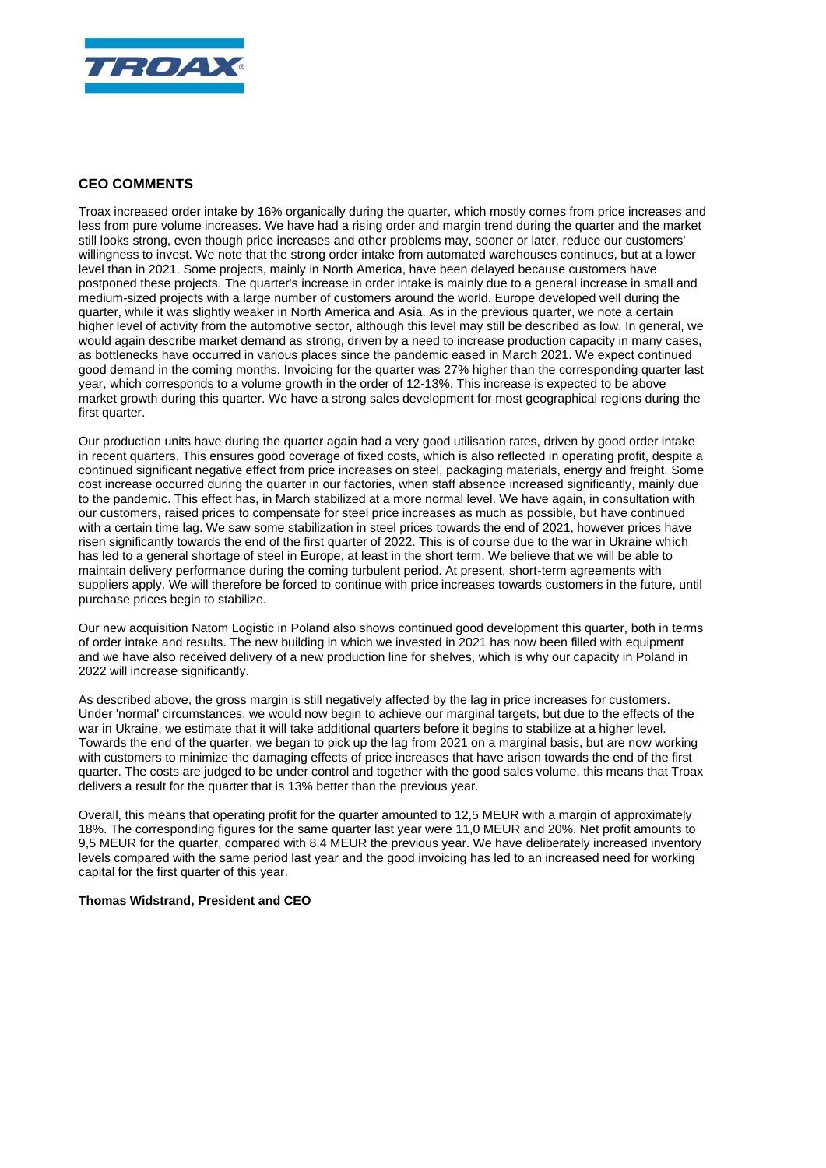

### **CEO COMMENTS**

Troax increased order intake by 16% organically during the quarter, which mostly comes from price increases and less from pure volume increases. We have had a rising order and margin trend during the quarter and the market still looks strong, even though price increases and other problems may, sooner or later, reduce our customers' willingness to invest. We note that the strong order intake from automated warehouses continues, but at a lower level than in 2021. Some projects, mainly in North America, have been delayed because customers have postponed these projects. The quarter's increase in order intake is mainly due to a general increase in small and medium-sized projects with a large number of customers around the world. Europe developed well during the quarter, while it was slightly weaker in North America and Asia. As in the previous quarter, we note a certain higher level of activity from the automotive sector, although this level may still be described as low. In general, we would again describe market demand as strong, driven by a need to increase production capacity in many cases, as bottlenecks have occurred in various places since the pandemic eased in March 2021. We expect continued good demand in the coming months. Invoicing for the quarter was 27% higher than the corresponding quarter last year, which corresponds to a volume growth in the order of 12-13%. This increase is expected to be above market growth during this quarter. We have a strong sales development for most geographical regions during the first quarter.

Our production units have during the quarter again had a very good utilisation rates, driven by good order intake in recent quarters. This ensures good coverage of fixed costs, which is also reflected in operating profit, despite a continued significant negative effect from price increases on steel, packaging materials, energy and freight. Some cost increase occurred during the quarter in our factories, when staff absence increased significantly, mainly due to the pandemic. This effect has, in March stabilized at a more normal level. We have again, in consultation with our customers, raised prices to compensate for steel price increases as much as possible, but have continued with a certain time lag. We saw some stabilization in steel prices towards the end of 2021, however prices have risen significantly towards the end of the first quarter of 2022. This is of course due to the war in Ukraine which has led to a general shortage of steel in Europe, at least in the short term. We believe that we will be able to maintain delivery performance during the coming turbulent period. At present, short-term agreements with suppliers apply. We will therefore be forced to continue with price increases towards customers in the future, until purchase prices begin to stabilize.

Our new acquisition Natom Logistic in Poland also shows continued good development this quarter, both in terms of order intake and results. The new building in which we invested in 2021 has now been filled with equipment and we have also received delivery of a new production line for shelves, which is why our capacity in Poland in 2022 will increase significantly.

As described above, the gross margin is still negatively affected by the lag in price increases for customers. Under 'normal' circumstances, we would now begin to achieve our marginal targets, but due to the effects of the war in Ukraine, we estimate that it will take additional quarters before it begins to stabilize at a higher level. Towards the end of the quarter, we began to pick up the lag from 2021 on a marginal basis, but are now working with customers to minimize the damaging effects of price increases that have arisen towards the end of the first quarter. The costs are judged to be under control and together with the good sales volume, this means that Troax delivers a result for the quarter that is 13% better than the previous year.

Overall, this means that operating profit for the quarter amounted to 12,5 MEUR with a margin of approximately 18%. The corresponding figures for the same quarter last year were 11,0 MEUR and 20%. Net profit amounts to 9,5 MEUR for the quarter, compared with 8,4 MEUR the previous year. We have deliberately increased inventory levels compared with the same period last year and the good invoicing has led to an increased need for working capital for the first quarter of this year.

#### **Thomas Widstrand, President and CEO**